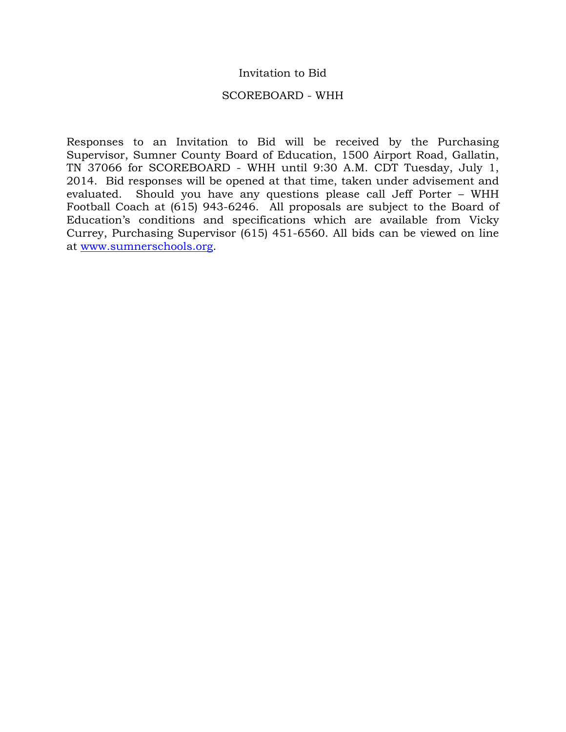### Invitation to Bid

#### SCOREBOARD - WHH

Responses to an Invitation to Bid will be received by the Purchasing Supervisor, Sumner County Board of Education, 1500 Airport Road, Gallatin, TN 37066 for SCOREBOARD - WHH until 9:30 A.M. CDT Tuesday, July 1, 2014. Bid responses will be opened at that time, taken under advisement and evaluated. Should you have any questions please call Jeff Porter – WHH Football Coach at (615) 943-6246. All proposals are subject to the Board of Education's conditions and specifications which are available from Vicky Currey, Purchasing Supervisor (615) 451-6560. All bids can be viewed on line at [www.sumnerschools.org.](http://www.sumnerschools.org/)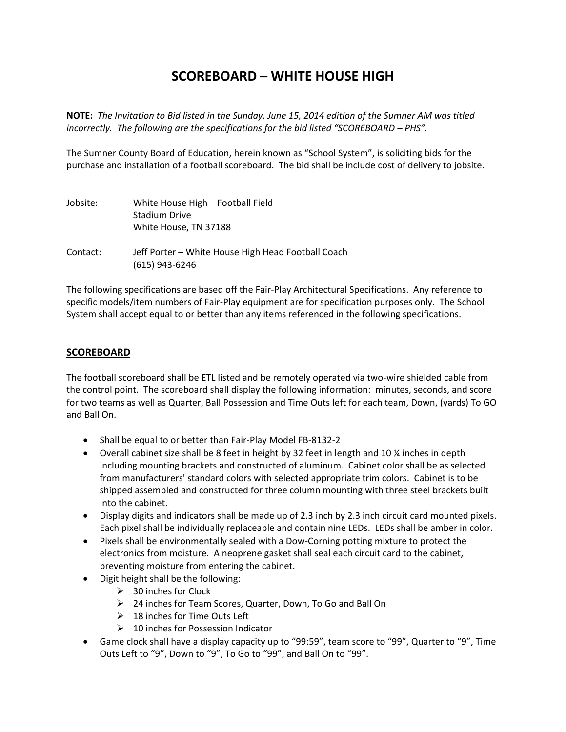# **SCOREBOARD – WHITE HOUSE HIGH**

**NOTE:** *The Invitation to Bid listed in the Sunday, June 15, 2014 edition of the Sumner AM was titled incorrectly. The following are the specifications for the bid listed "SCOREBOARD – PHS".*

The Sumner County Board of Education, herein known as "School System", is soliciting bids for the purchase and installation of a football scoreboard. The bid shall be include cost of delivery to jobsite.

| Jobsite: | White House High – Football Field<br><b>Stadium Drive</b><br>White House, TN 37188 |
|----------|------------------------------------------------------------------------------------|
| Contact: | Jeff Porter – White House High Head Football Coach<br>$(615)$ 943-6246             |

The following specifications are based off the Fair-Play Architectural Specifications. Any reference to specific models/item numbers of Fair-Play equipment are for specification purposes only. The School System shall accept equal to or better than any items referenced in the following specifications.

#### **SCOREBOARD**

The football scoreboard shall be ETL listed and be remotely operated via two-wire shielded cable from the control point. The scoreboard shall display the following information: minutes, seconds, and score for two teams as well as Quarter, Ball Possession and Time Outs left for each team, Down, (yards) To GO and Ball On.

- Shall be equal to or better than Fair-Play Model FB-8132-2
- Overall cabinet size shall be 8 feet in height by 32 feet in length and 10 ¼ inches in depth including mounting brackets and constructed of aluminum. Cabinet color shall be as selected from manufacturers' standard colors with selected appropriate trim colors. Cabinet is to be shipped assembled and constructed for three column mounting with three steel brackets built into the cabinet.
- Display digits and indicators shall be made up of 2.3 inch by 2.3 inch circuit card mounted pixels. Each pixel shall be individually replaceable and contain nine LEDs. LEDs shall be amber in color.
- Pixels shall be environmentally sealed with a Dow-Corning potting mixture to protect the electronics from moisture. A neoprene gasket shall seal each circuit card to the cabinet, preventing moisture from entering the cabinet.
- Digit height shall be the following:
	- $\geq$  30 inches for Clock
	- 24 inches for Team Scores, Quarter, Down, To Go and Ball On
	- $\geq$  18 inches for Time Outs Left
	- $\geq 10$  inches for Possession Indicator
- Game clock shall have a display capacity up to "99:59", team score to "99", Quarter to "9", Time Outs Left to "9", Down to "9", To Go to "99", and Ball On to "99".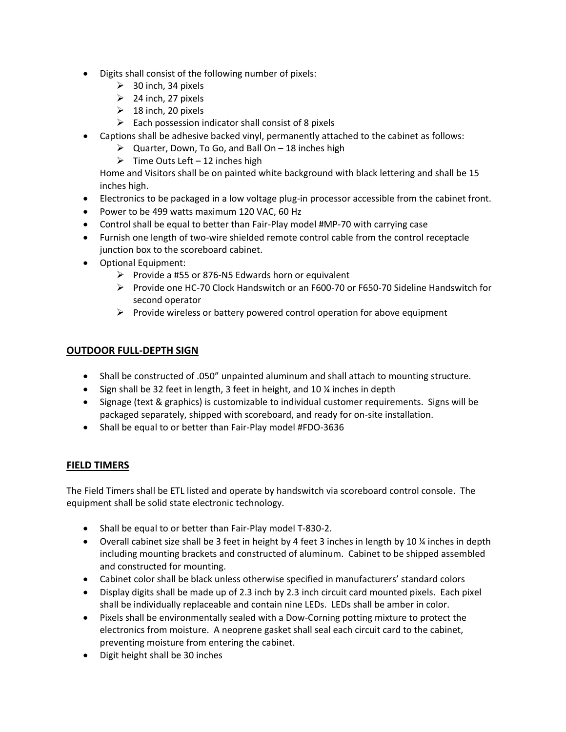- Digits shall consist of the following number of pixels:
	- $\geq$  30 inch, 34 pixels
	- $\geq$  24 inch, 27 pixels
	- $\geq 18$  inch, 20 pixels
	- $\triangleright$  Each possession indicator shall consist of 8 pixels
- Captions shall be adhesive backed vinyl, permanently attached to the cabinet as follows:
	- $\triangleright$  Quarter, Down, To Go, and Ball On 18 inches high
	- $\triangleright$  Time Outs Left 12 inches high

Home and Visitors shall be on painted white background with black lettering and shall be 15 inches high.

- Electronics to be packaged in a low voltage plug-in processor accessible from the cabinet front.
- Power to be 499 watts maximum 120 VAC, 60 Hz
- Control shall be equal to better than Fair-Play model #MP-70 with carrying case
- Furnish one length of two-wire shielded remote control cable from the control receptacle junction box to the scoreboard cabinet.
- Optional Equipment:
	- $\triangleright$  Provide a #55 or 876-N5 Edwards horn or equivalent
	- Provide one HC-70 Clock Handswitch or an F600-70 or F650-70 Sideline Handswitch for second operator
	- $\triangleright$  Provide wireless or battery powered control operation for above equipment

## **OUTDOOR FULL-DEPTH SIGN**

- Shall be constructed of .050" unpainted aluminum and shall attach to mounting structure.
- Sign shall be 32 feet in length, 3 feet in height, and 10 % inches in depth
- Signage (text & graphics) is customizable to individual customer requirements. Signs will be packaged separately, shipped with scoreboard, and ready for on-site installation.
- Shall be equal to or better than Fair-Play model #FDO-3636

## **FIELD TIMERS**

The Field Timers shall be ETL listed and operate by handswitch via scoreboard control console. The equipment shall be solid state electronic technology.

- Shall be equal to or better than Fair-Play model T-830-2.
- Overall cabinet size shall be 3 feet in height by 4 feet 3 inches in length by 10 ¼ inches in depth including mounting brackets and constructed of aluminum. Cabinet to be shipped assembled and constructed for mounting.
- Cabinet color shall be black unless otherwise specified in manufacturers' standard colors
- Display digits shall be made up of 2.3 inch by 2.3 inch circuit card mounted pixels. Each pixel shall be individually replaceable and contain nine LEDs. LEDs shall be amber in color.
- Pixels shall be environmentally sealed with a Dow-Corning potting mixture to protect the electronics from moisture. A neoprene gasket shall seal each circuit card to the cabinet, preventing moisture from entering the cabinet.
- Digit height shall be 30 inches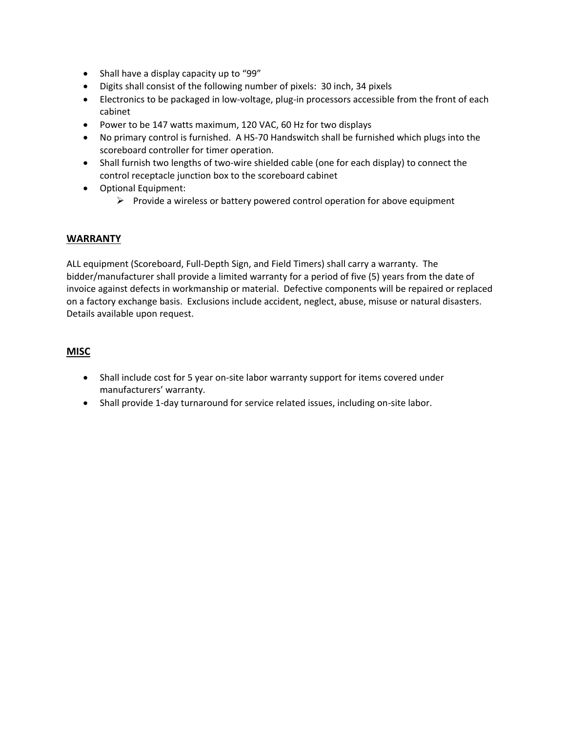- Shall have a display capacity up to "99"
- Digits shall consist of the following number of pixels: 30 inch, 34 pixels
- Electronics to be packaged in low-voltage, plug-in processors accessible from the front of each cabinet
- Power to be 147 watts maximum, 120 VAC, 60 Hz for two displays
- No primary control is furnished. A HS-70 Handswitch shall be furnished which plugs into the scoreboard controller for timer operation.
- Shall furnish two lengths of two-wire shielded cable (one for each display) to connect the control receptacle junction box to the scoreboard cabinet
- Optional Equipment:
	- $\triangleright$  Provide a wireless or battery powered control operation for above equipment

#### **WARRANTY**

ALL equipment (Scoreboard, Full-Depth Sign, and Field Timers) shall carry a warranty. The bidder/manufacturer shall provide a limited warranty for a period of five (5) years from the date of invoice against defects in workmanship or material. Defective components will be repaired or replaced on a factory exchange basis. Exclusions include accident, neglect, abuse, misuse or natural disasters. Details available upon request.

#### **MISC**

- Shall include cost for 5 year on-site labor warranty support for items covered under manufacturers' warranty.
- Shall provide 1-day turnaround for service related issues, including on-site labor.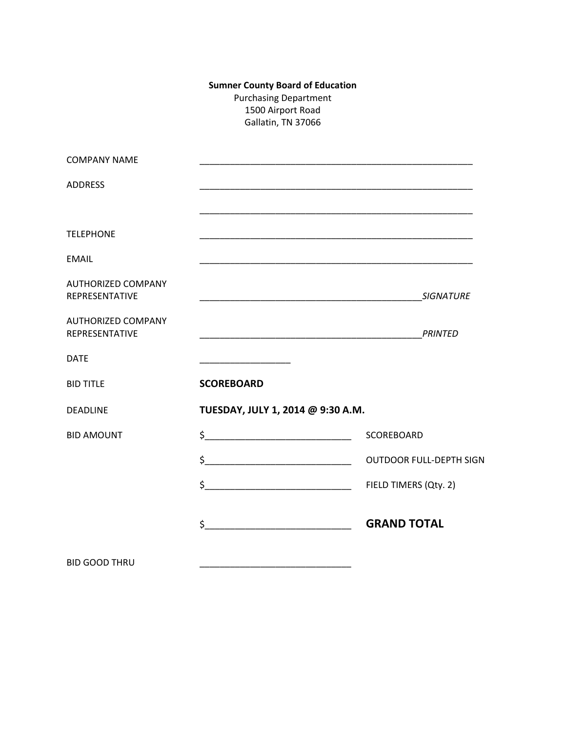## **Sumner County Board of Education** Purchasing Department 1500 Airport Road Gallatin, TN 37066

| <b>COMPANY NAME</b>                                |                                                                                                                      |                                |  |
|----------------------------------------------------|----------------------------------------------------------------------------------------------------------------------|--------------------------------|--|
| <b>ADDRESS</b>                                     |                                                                                                                      |                                |  |
|                                                    |                                                                                                                      |                                |  |
| <b>TELEPHONE</b>                                   |                                                                                                                      |                                |  |
| <b>EMAIL</b>                                       |                                                                                                                      |                                |  |
| <b>AUTHORIZED COMPANY</b><br><b>REPRESENTATIVE</b> |                                                                                                                      | <b>SIGNATURE</b>               |  |
| <b>AUTHORIZED COMPANY</b><br><b>REPRESENTATIVE</b> |                                                                                                                      |                                |  |
| <b>DATE</b>                                        | <u> 1989 - Johann Harry Barn, mars ar breist ar yn y breist yn y breist yn y breist ar y breist ar y breist ar y</u> |                                |  |
| <b>BID TITLE</b>                                   | <b>SCOREBOARD</b>                                                                                                    |                                |  |
| <b>DEADLINE</b>                                    | TUESDAY, JULY 1, 2014 @ 9:30 A.M.                                                                                    |                                |  |
| <b>BID AMOUNT</b>                                  | $\frac{1}{2}$                                                                                                        | SCOREBOARD                     |  |
|                                                    | $\frac{1}{2}$                                                                                                        | <b>OUTDOOR FULL-DEPTH SIGN</b> |  |
|                                                    |                                                                                                                      |                                |  |
|                                                    | $\frac{1}{2}$                                                                                                        | <b>GRAND TOTAL</b>             |  |
| <b>BID GOOD THRU</b>                               |                                                                                                                      |                                |  |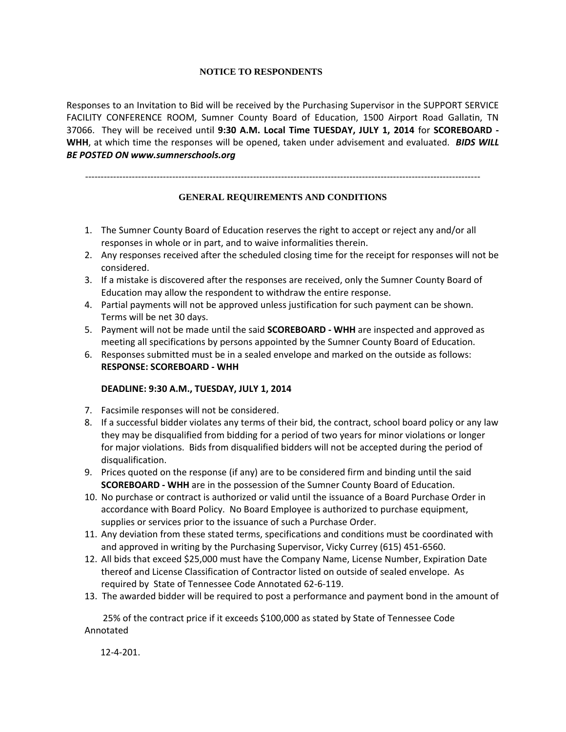#### **NOTICE TO RESPONDENTS**

Responses to an Invitation to Bid will be received by the Purchasing Supervisor in the SUPPORT SERVICE FACILITY CONFERENCE ROOM, Sumner County Board of Education, 1500 Airport Road Gallatin, TN 37066. They will be received until **9:30 A.M. Local Time TUESDAY, JULY 1, 2014** for **SCOREBOARD - WHH**, at which time the responses will be opened, taken under advisement and evaluated. *BIDS WILL BE POSTED ON www.sumnerschools.org*

-------------------------------------------------------------------------------------------------------------------------------

#### **GENERAL REQUIREMENTS AND CONDITIONS**

- 1. The Sumner County Board of Education reserves the right to accept or reject any and/or all responses in whole or in part, and to waive informalities therein.
- 2. Any responses received after the scheduled closing time for the receipt for responses will not be considered.
- 3. If a mistake is discovered after the responses are received, only the Sumner County Board of Education may allow the respondent to withdraw the entire response.
- 4. Partial payments will not be approved unless justification for such payment can be shown. Terms will be net 30 days.
- 5. Payment will not be made until the said **SCOREBOARD - WHH** are inspected and approved as meeting all specifications by persons appointed by the Sumner County Board of Education.
- 6. Responses submitted must be in a sealed envelope and marked on the outside as follows: **RESPONSE: SCOREBOARD - WHH**

#### **DEADLINE: 9:30 A.M., TUESDAY, JULY 1, 2014**

- 7. Facsimile responses will not be considered.
- 8. If a successful bidder violates any terms of their bid, the contract, school board policy or any law they may be disqualified from bidding for a period of two years for minor violations or longer for major violations. Bids from disqualified bidders will not be accepted during the period of disqualification.
- 9. Prices quoted on the response (if any) are to be considered firm and binding until the said **SCOREBOARD - WHH** are in the possession of the Sumner County Board of Education.
- 10. No purchase or contract is authorized or valid until the issuance of a Board Purchase Order in accordance with Board Policy. No Board Employee is authorized to purchase equipment, supplies or services prior to the issuance of such a Purchase Order.
- 11. Any deviation from these stated terms, specifications and conditions must be coordinated with and approved in writing by the Purchasing Supervisor, Vicky Currey (615) 451-6560.
- 12. All bids that exceed \$25,000 must have the Company Name, License Number, Expiration Date thereof and License Classification of Contractor listed on outside of sealed envelope. As required by State of Tennessee Code Annotated 62-6-119.
- 13. The awarded bidder will be required to post a performance and payment bond in the amount of

 25% of the contract price if it exceeds \$100,000 as stated by State of Tennessee Code Annotated

12-4-201.